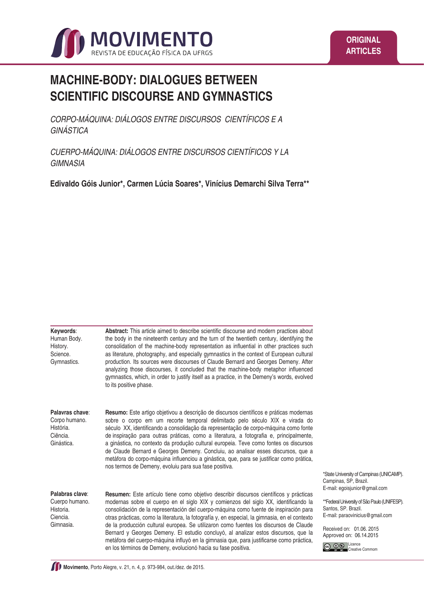

# **MACHINE-BODY: DIALOGUES BETWEEN SCIENTIFIC DISCOURSE AND GYMNASTICS**

*CORPO-MÁQUINA: DIÁLOGOS ENTRE DISCURSOS CIENTÍFICOS E A GINÁSTICA*

*CUERPO-MÁQUINA: DIÁLOGOS ENTRE DISCURSOS CIENTÍFICOS Y LA GIMNASIA*

**Edivaldo Góis Junior\*, Carmen Lúcia Soares\*, Vinícius Demarchi Silva Terra\*\***

| Keywords:<br>Human Body.<br>History.<br>Science.<br>Gymnastics.         | Abstract: This article aimed to describe scientific discourse and modern practices about<br>the body in the nineteenth century and the turn of the twentieth century, identifying the<br>consolidation of the machine-body representation as influential in other practices such<br>as literature, photography, and especially gymnastics in the context of European cultural<br>production. Its sources were discourses of Claude Bernard and Georges Demeny. After<br>analyzing those discourses, it concluded that the machine-body metaphor influenced<br>gymnastics, which, in order to justify itself as a practice, in the Demeny's words, evolved<br>to its positive phase.                                         |                                                                                                                                                                                                                                                                              |
|-------------------------------------------------------------------------|-----------------------------------------------------------------------------------------------------------------------------------------------------------------------------------------------------------------------------------------------------------------------------------------------------------------------------------------------------------------------------------------------------------------------------------------------------------------------------------------------------------------------------------------------------------------------------------------------------------------------------------------------------------------------------------------------------------------------------|------------------------------------------------------------------------------------------------------------------------------------------------------------------------------------------------------------------------------------------------------------------------------|
| Palavras chave:<br>Corpo humano.<br>História.<br>Ciência.<br>Ginástica. | Resumo: Este artigo objetivou a descrição de discursos científicos e práticas modernas<br>sobre o corpo em um recorte temporal delimitado pelo século XIX e virada do<br>século XX, identificando a consolidação da representação de corpo-máquina como fonte<br>de inspiração para outras práticas, como a literatura, a fotografia e, principalmente,<br>a ginástica, no contexto da produção cultural europeia. Teve como fontes os discursos<br>de Claude Bernard e Georges Demeny. Concluiu, ao analisar esses discursos, que a<br>metáfora do corpo-máquina influenciou a ginástica, que, para se justificar como prática,<br>nos termos de Demeny, evoluiu para sua fase positiva.                                   | *State University of Campinas (UNICAMP).                                                                                                                                                                                                                                     |
| Palabras clave:<br>Cuerpo humano.<br>Historia.<br>Ciencia.<br>Gimnasia. | <b>Resumen:</b> Este artículo tiene como objetivo describir discursos científicos y prácticas<br>modernas sobre el cuerpo en el siglo XIX y comienzos del siglo XX, identificando la<br>consolidación de la representación del cuerpo-máquina como fuente de inspiración para<br>otras prácticas, como la literatura, la fotografía y, en especial, la gimnasia, en el contexto<br>de la producción cultural europea. Se utilizaron como fuentes los discursos de Claude<br>Bernard y Georges Demeny. El estudio concluyó, al analizar estos discursos, que la<br>metáfora del cuerpo-máquina influyó en la gimnasia que, para justificarse como práctica,<br>en los términos de Demeny, evolucionó hacia su fase positiva. | Campinas, SP, Brazil.<br>E-mail: egoisjunior@gmail.com<br>**Federal University of São Paulo (UNIFESP).<br>Santos, SP. Brazil.<br>E-mail: paraovinicius@gmail.com<br>Received on: 01.06, 2015<br>Approved on: 06.14.2015<br>0 <sup>6</sup> Licence<br>(cc)<br>Creative Commom |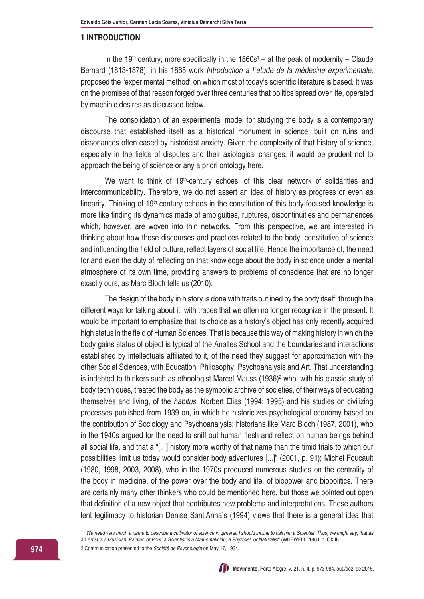#### **1 INTRODUCTION**

In the 19<sup>th</sup> century, more specifically in the 1860s<sup>1</sup> – at the peak of modernity – Claude Bernard (1813-1878), in his 1865 work *Introduction a l´étude de la médecine experimentale*, proposed the "experimental method" on which most of today's scientific literature is based. It was on the promises of that reason forged over three centuries that politics spread over life, operated by machinic desires as discussed below.

The consolidation of an experimental model for studying the body is a contemporary discourse that established itself as a historical monument in science, built on ruins and dissonances often eased by historicist anxiety. Given the complexity of that history of science, especially in the fields of disputes and their axiological changes, it would be prudent not to approach the being of science or any a priori ontology here.

We want to think of 19<sup>th</sup>-century echoes, of this clear network of solidarities and intercommunicability. Therefore, we do not assert an idea of history as progress or even as linearity. Thinking of 19<sup>th</sup>-century echoes in the constitution of this body-focused knowledge is more like finding its dynamics made of ambiguities, ruptures, discontinuities and permanences which, however, are woven into thin networks. From this perspective, we are interested in thinking about how those discourses and practices related to the body, constitutive of science and influencing the field of culture, reflect layers of social life. Hence the importance of, the need for and even the duty of reflecting on that knowledge about the body in science under a mental atmosphere of its own time, providing answers to problems of conscience that are no longer exactly ours, as Marc Bloch tells us (2010).

The design of the body in history is done with traits outlined by the body itself, through the different ways for talking about it, with traces that we often no longer recognize in the present. It would be important to emphasize that its choice as a history's object has only recently acquired high status in the field of Human Sciences. That is because this way of making history in which the body gains status of object is typical of the Analles School and the boundaries and interactions established by intellectuals affiliated to it, of the need they suggest for approximation with the other Social Sciences, with Education, Philosophy, Psychoanalysis and Art. That understanding is indebted to thinkers such as ethnologist Marcel Mauss (1936)<sup>2</sup> who, with his classic study of body techniques, treated the body as the symbolic archive of societies, of their ways of educating themselves and living, of the *habitus*; Norbert Elias (1994; 1995) and his studies on civilizing processes published from 1939 on, in which he historicizes psychological economy based on the contribution of Sociology and Psychoanalysis; historians like Marc Bloch (1987, 2001), who in the 1940s argued for the need to sniff out human flesh and reflect on human beings behind all social life, and that a "[...] history more worthy of that name than the timid trials to which our possibilities limit us today would consider body adventures [...]" (2001, p. 91); Michel Foucault (1980, 1998, 2003, 2008), who in the 1970s produced numerous studies on the centrality of the body in medicine, of the power over the body and life, of biopower and biopolitics. There are certainly many other thinkers who could be mentioned here, but those we pointed out open that definition of a new object that contributes new problems and interpretations. These authors lent legitimacy to historian Denise Sant'Anna's (1994) views that there is a general idea that



<sup>1 &</sup>quot;*We need very much a name to describe a cultivator of science in general. I should incline to call him a Scientist. Thus, we might say, that as an Artist is a Musician, Painter, or Poet, a Scientist is a Mathematician, a Physicist, or Naturalist*" (WHEWELL, 1860, p. CXIII). 2 Communication presented to the *Société de Psychologie* on May 17, 1934.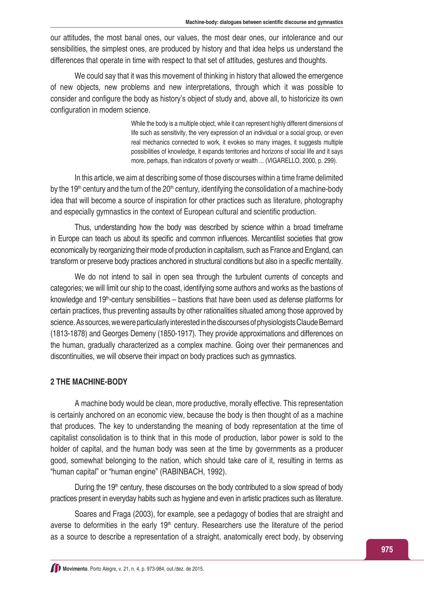our attitudes, the most banal ones, our values, the most dear ones, our intolerance and our sensibilities, the simplest ones, are produced by history and that idea helps us understand the differences that operate in time with respect to that set of attitudes, gestures and thoughts.

We could say that it was this movement of thinking in history that allowed the emergence of new objects, new problems and new interpretations, through which it was possible to consider and configure the body as history's object of study and, above all, to historicize its own configuration in modern science.

> While the body is a multiple object, while it can represent highly different dimensions of life such as sensitivity, the very expression of an individual or a social group, or even real mechanics connected to work, it evokes so many images, it suggests multiple possibilities of knowledge, it expands territories and horizons of social life and it says more, perhaps, than indicators of poverty or wealth ... (VIGARELLO, 2000, p. 299).

In this article, we aim at describing some of those discourses within a time frame delimited by the 19<sup>th</sup> century and the turn of the 20<sup>th</sup> century, identifying the consolidation of a machine-body idea that will become a source of inspiration for other practices such as literature, photography and especially gymnastics in the context of European cultural and scientific production.

Thus, understanding how the body was described by science within a broad timeframe in Europe can teach us about its specific and common influences. Mercantilist societies that grow economically by reorganizing their mode of production in capitalism, such as France and England, can transform or preserve body practices anchored in structural conditions but also in a specific mentality.

We do not intend to sail in open sea through the turbulent currents of concepts and categories; we will limit our ship to the coast, identifying some authors and works as the bastions of knowledge and  $19<sup>th</sup>$ -century sensibilities – bastions that have been used as defense platforms for certain practices, thus preventing assaults by other rationalities situated among those approved by science. As sources, we were particularly interested in the discourses of physiologists Claude Bernard (1813-1878) and Georges Demeny (1850-1917). They provide approximations and differences on the human, gradually characterized as a complex machine. Going over their permanences and discontinuities, we will observe their impact on body practices such as gymnastics.

### **2 THE MACHINE-BODY**

A machine body would be clean, more productive, morally effective. This representation is certainly anchored on an economic view, because the body is then thought of as a machine that produces. The key to understanding the meaning of body representation at the time of capitalist consolidation is to think that in this mode of production, labor power is sold to the holder of capital, and the human body was seen at the time by governments as a producer good, somewhat belonging to the nation, which should take care of it, resulting in terms as "human capital" or "human engine" (RABINBACH, 1992).

During the  $19<sup>th</sup>$  century, these discourses on the body contributed to a slow spread of body practices present in everyday habits such as hygiene and even in artistic practices such as literature.

Soares and Fraga (2003), for example, see a pedagogy of bodies that are straight and averse to deformities in the early 19<sup>th</sup> century. Researchers use the literature of the period as a source to describe a representation of a straight, anatomically erect body, by observing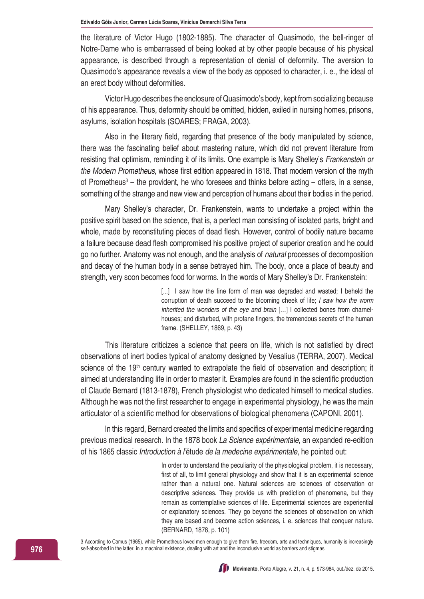the literature of Victor Hugo (1802-1885). The character of Quasimodo, the bell-ringer of Notre-Dame who is embarrassed of being looked at by other people because of his physical appearance, is described through a representation of denial of deformity. The aversion to Quasimodo's appearance reveals a view of the body as opposed to character, i. e., the ideal of an erect body without deformities.

Victor Hugo describes the enclosure of Quasimodo's body, kept from socializing because of his appearance. Thus, deformity should be omitted, hidden, exiled in nursing homes, prisons, asylums, isolation hospitals (SOARES; FRAGA, 2003).

Also in the literary field, regarding that presence of the body manipulated by science, there was the fascinating belief about mastering nature, which did not prevent literature from resisting that optimism, reminding it of its limits. One example is Mary Shelley's *Frankenstein or the Modern Prometheus*, whose first edition appeared in 1818. That modern version of the myth of Prometheus<sup>3</sup> – the provident, he who foresees and thinks before acting – offers, in a sense, something of the strange and new view and perception of humans about their bodies in the period.

Mary Shelley's character, Dr. Frankenstein, wants to undertake a project within the positive spirit based on the science, that is, a perfect man consisting of isolated parts, bright and whole, made by reconstituting pieces of dead flesh. However, control of bodily nature became a failure because dead flesh compromised his positive project of superior creation and he could go no further. Anatomy was not enough, and the analysis of *natural* processes of decomposition and decay of the human body in a sense betrayed him. The body, once a place of beauty and strength, very soon becomes food for worms. In the words of Mary Shelley's Dr. Frankenstein:

> [...] I saw how the fine form of man was degraded and wasted; I beheld the corruption of death succeed to the blooming cheek of life; *I saw how the worm inherited the wonders of the eye and brain* […] I collected bones from charnelhouses; and disturbed, with profane fingers, the tremendous secrets of the human frame. (SHELLEY, 1869, p. 43)

This literature criticizes a science that peers on life, which is not satisfied by direct observations of inert bodies typical of anatomy designed by Vesalius (TERRA, 2007). Medical science of the  $19<sup>th</sup>$  century wanted to extrapolate the field of observation and description; it aimed at understanding life in order to master it. Examples are found in the scientific production of Claude Bernard (1813-1878), French physiologist who dedicated himself to medical studies. Although he was not the first researcher to engage in experimental physiology, he was the main articulator of a scientific method for observations of biological phenomena (CAPONI, 2001).

In this regard, Bernard created the limits and specifics of experimental medicine regarding previous medical research. In the 1878 book *La Science expérimentale*, an expanded re-edition of his 1865 classic *Introduction à l'*étude *de la medecine expérimentale*, he pointed out:

> In order to understand the peculiarity of the physiological problem, it is necessary, first of all, to limit general physiology and show that it is an experimental science rather than a natural one. Natural sciences are sciences of observation or descriptive sciences. They provide us with prediction of phenomena, but they remain as contemplative sciences of life. Experimental sciences are experiential or explanatory sciences. They go beyond the sciences of observation on which they are based and become action sciences, i. e. sciences that conquer nature. (BERNARD, 1878, p. 101)

3 According to Camus (1965), while Prometheus loved men enough to give them fire, freedom, arts and techniques, humanity is increasingly self-absorbed in the latter, in a machinal existence, dealing with art and the inconclusive world as barriers and stigmas.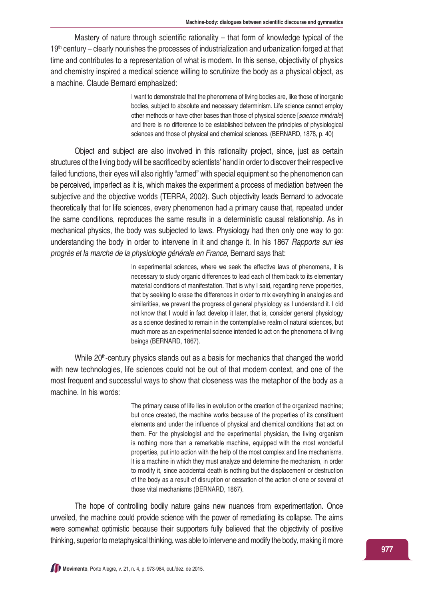Mastery of nature through scientific rationality – that form of knowledge typical of the 19<sup>th</sup> century – clearly nourishes the processes of industrialization and urbanization forged at that time and contributes to a representation of what is modern. In this sense, objectivity of physics and chemistry inspired a medical science willing to scrutinize the body as a physical object, as a machine. Claude Bernard emphasized:

> I want to demonstrate that the phenomena of living bodies are, like those of inorganic bodies, subject to absolute and necessary determinism. Life science cannot employ other methods or have other bases than those of physical science [*science minérale*] and there is no difference to be established between the principles of physiological sciences and those of physical and chemical sciences. (BERNARD, 1878, p. 40)

Object and subject are also involved in this rationality project, since, just as certain structures of the living body will be sacrificed by scientists' hand in order to discover their respective failed functions, their eyes will also rightly "armed" with special equipment so the phenomenon can be perceived, imperfect as it is, which makes the experiment a process of mediation between the subjective and the objective worlds (TERRA, 2002). Such objectivity leads Bernard to advocate theoretically that for life sciences, every phenomenon had a primary cause that, repeated under the same conditions, reproduces the same results in a deterministic causal relationship. As in mechanical physics, the body was subjected to laws. Physiology had then only one way to go: understanding the body in order to intervene in it and change it. In his 1867 *Rapports sur les progrès et la marche de la physiologie générale en France*, Bernard says that:

> In experimental sciences, where we seek the effective laws of phenomena, it is necessary to study organic differences to lead each of them back to its elementary material conditions of manifestation. That is why I said, regarding nerve properties, that by seeking to erase the differences in order to mix everything in analogies and similarities, we prevent the progress of general physiology as I understand it. I did not know that I would in fact develop it later, that is, consider general physiology as a science destined to remain in the contemplative realm of natural sciences, but much more as an experimental science intended to act on the phenomena of living beings (BERNARD, 1867).

While 20<sup>th</sup>-century physics stands out as a basis for mechanics that changed the world with new technologies, life sciences could not be out of that modern context, and one of the most frequent and successful ways to show that closeness was the metaphor of the body as a machine. In his words:

> The primary cause of life lies in evolution or the creation of the organized machine; but once created, the machine works because of the properties of its constituent elements and under the influence of physical and chemical conditions that act on them. For the physiologist and the experimental physician, the living organism is nothing more than a remarkable machine, equipped with the most wonderful properties, put into action with the help of the most complex and fine mechanisms. It is a machine in which they must analyze and determine the mechanism, in order to modify it, since accidental death is nothing but the displacement or destruction of the body as a result of disruption or cessation of the action of one or several of those vital mechanisms (BERNARD, 1867).

The hope of controlling bodily nature gains new nuances from experimentation. Once unveiled, the machine could provide science with the power of remediating its collapse. The aims were somewhat optimistic because their supporters fully believed that the objectivity of positive thinking, superior to metaphysical thinking, was able to intervene and modify the body, making it more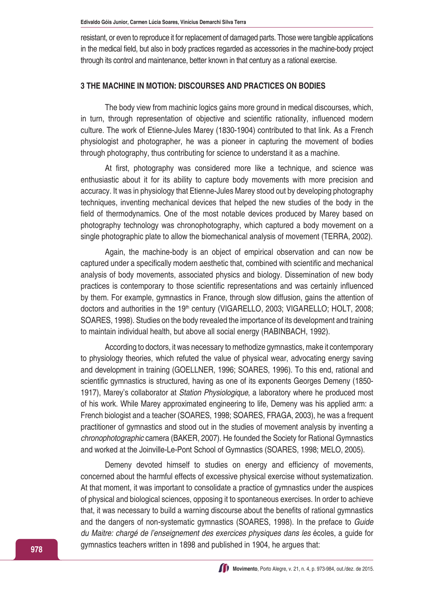resistant, or even to reproduce it for replacement of damaged parts. Those were tangible applications in the medical field, but also in body practices regarded as accessories in the machine-body project through its control and maintenance, better known in that century as a rational exercise.

## **3 THE MACHINE IN MOTION: DISCOURSES AND PRACTICES ON BODIES**

The body view from machinic logics gains more ground in medical discourses, which, in turn, through representation of objective and scientific rationality, influenced modern culture. The work of Etienne-Jules Marey (1830-1904) contributed to that link. As a French physiologist and photographer, he was a pioneer in capturing the movement of bodies through photography, thus contributing for science to understand it as a machine.

At first, photography was considered more like a technique, and science was enthusiastic about it for its ability to capture body movements with more precision and accuracy. It was in physiology that Etienne-Jules Marey stood out by developing photography techniques, inventing mechanical devices that helped the new studies of the body in the field of thermodynamics. One of the most notable devices produced by Marey based on photography technology was chronophotography, which captured a body movement on a single photographic plate to allow the biomechanical analysis of movement (TERRA, 2002).

Again, the machine-body is an object of empirical observation and can now be captured under a specifically modern aesthetic that, combined with scientific and mechanical analysis of body movements, associated physics and biology. Dissemination of new body practices is contemporary to those scientific representations and was certainly influenced by them. For example, gymnastics in France, through slow diffusion, gains the attention of doctors and authorities in the 19<sup>th</sup> century (VIGARELLO, 2003; VIGARELLO; HOLT, 2008; SOARES, 1998). Studies on the body revealed the importance of its development and training to maintain individual health, but above all social energy (RABINBACH, 1992).

According to doctors, it was necessary to methodize gymnastics, make it contemporary to physiology theories, which refuted the value of physical wear, advocating energy saving and development in training (GOELLNER, 1996; SOARES, 1996). To this end, rational and scientific gymnastics is structured, having as one of its exponents Georges Demeny (1850- 1917), Marey's collaborator at *Station Physiologique*, a laboratory where he produced most of his work. While Marey approximated engineering to life, Demeny was his applied arm: a French biologist and a teacher (SOARES, 1998; SOARES, FRAGA, 2003), he was a frequent practitioner of gymnastics and stood out in the studies of movement analysis by inventing a *chronophotographic* camera (BAKER, 2007). He founded the Society for Rational Gymnastics and worked at the Joinville-Le-Pont School of Gymnastics (SOARES, 1998; MELO, 2005).

Demeny devoted himself to studies on energy and efficiency of movements, concerned about the harmful effects of excessive physical exercise without systematization. At that moment, it was important to consolidate a practice of gymnastics under the auspices of physical and biological sciences, opposing it to spontaneous exercises. In order to achieve that, it was necessary to build a warning discourse about the benefits of rational gymnastics and the dangers of non-systematic gymnastics (SOARES, 1998). In the preface to *Guide du Maitre: chargé de l'enseignement des exercices physiques dans les* écoles, a guide for gymnastics teachers written in 1898 and published in 1904, he argues that: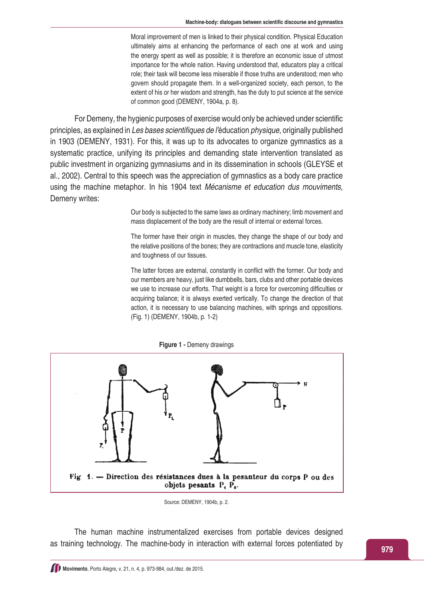Moral improvement of men is linked to their physical condition. Physical Education ultimately aims at enhancing the performance of each one at work and using the energy spent as well as possible; it is therefore an economic issue of utmost importance for the whole nation. Having understood that, educators play a critical role; their task will become less miserable if those truths are understood; men who govern should propagate them. In a well-organized society, each person, to the extent of his or her wisdom and strength, has the duty to put science at the service of common good (DEMENY, 1904a, p. 8).

For Demeny, the hygienic purposes of exercise would only be achieved under scientific principles, as explained in Les bases scientifiques de l'éducation *physique*, originally published in 1903 (DEMENY, 1931). For this, it was up to its advocates to organize gymnastics as a systematic practice, unifying its principles and demanding state intervention translated as public investment in organizing gymnasiums and in its dissemination in schools (GLEYSE et al., 2002). Central to this speech was the appreciation of gymnastics as a body care practice using the machine metaphor. In his 1904 text *Mécanisme et education dus mouviments*, Demeny writes:

> Our body is subjected to the same laws as ordinary machinery; limb movement and mass displacement of the body are the result of internal or external forces.

> The former have their origin in muscles, they change the shape of our body and the relative positions of the bones; they are contractions and muscle tone, elasticity and toughness of our tissues.

> The latter forces are external, constantly in conflict with the former. Our body and our members are heavy, just like dumbbells, bars, clubs and other portable devices we use to increase our efforts. That weight is a force for overcoming difficulties or acquiring balance; it is always exerted vertically. To change the direction of that action, it is necessary to use balancing machines, with springs and oppositions. (Fig. 1) (DEMENY, 1904b, p. 1-2)



Source: DEMENY, 1904b, p. 2.

The human machine instrumentalized exercises from portable devices designed as training technology. The machine-body in interaction with external forces potentiated by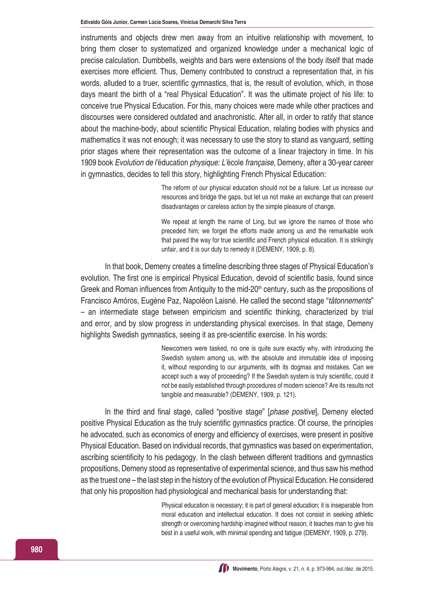instruments and objects drew men away from an intuitive relationship with movement, to bring them closer to systematized and organized knowledge under a mechanical logic of precise calculation. Dumbbells, weights and bars were extensions of the body itself that made exercises more efficient. Thus, Demeny contributed to construct a representation that, in his words, alluded to a truer, scientific gymnastics, that is, the result of evolution, which, in those days meant the birth of a "real Physical Education". It was the ultimate project of his life: to conceive true Physical Education. For this, many choices were made while other practices and discourses were considered outdated and anachronistic. After all, in order to ratify that stance about the machine-body, about scientific Physical Education, relating bodies with physics and mathematics it was not enough; it was necessary to use the story to stand as vanguard, setting prior stages where their representation was the outcome of a linear trajectory in time. In his 1909 book *Evolution de l'*éducation *physique: L'*école *française*, Demeny, after a 30-year career in gymnastics, decides to tell this story, highlighting French Physical Education:

> The reform of our physical education should not be a failure. Let us increase our resources and bridge the gaps, but let us not make an exchange that can present disadvantages or careless action by the simple pleasure of change.

> We repeat at length the name of Ling, but we ignore the names of those who preceded him; we forget the efforts made among us and the remarkable work that paved the way for true scientific and French physical education. It is strikingly unfair, and it is our duty to remedy it (DEMENY, 1909, p. 8).

In that book, Demeny creates a timeline describing three stages of Physical Education's evolution. The first one is empirical Physical Education, devoid of scientific basis, found since Greek and Roman influences from Antiquity to the mid-20<sup>th</sup> century, such as the propositions of Francisco Amóros, Eugène Paz, Napoléon Laisné. He called the second stage "*tâtonnements*" – an intermediate stage between empiricism and scientific thinking, characterized by trial and error, and by slow progress in understanding physical exercises. In that stage, Demeny highlights Swedish gymnastics, seeing it as pre-scientific exercise. In his words:

> Newcomers were tasked, no one is quite sure exactly why, with introducing the Swedish system among us, with the absolute and immutable idea of imposing it, without responding to our arguments, with its dogmas and mistakes. Can we accept such a way of proceeding? If the Swedish system is truly scientific, could it not be easily established through procedures of modern science? Are its results not tangible and measurable? (DEMENY, 1909, p. 121).

In the third and final stage, called "positive stage" [*phase positive*], Demeny elected positive Physical Education as the truly scientific gymnastics practice. Of course, the principles he advocated, such as economics of energy and efficiency of exercises, were present in positive Physical Education. Based on individual records, that gymnastics was based on experimentation, ascribing scientificity to his pedagogy. In the clash between different traditions and gymnastics propositions, Demeny stood as representative of experimental science, and thus saw his method as the truest one – the last step in the history of the evolution of Physical Education. He considered that only his proposition had physiological and mechanical basis for understanding that:

> Physical education is necessary; it is part of general education; it is inseparable from moral education and intellectual education. It does not consist in seeking athletic strength or overcoming hardship imagined without reason; it teaches man to give his best in a useful work, with minimal spending and fatigue (DEMENY, 1909, p. 279).

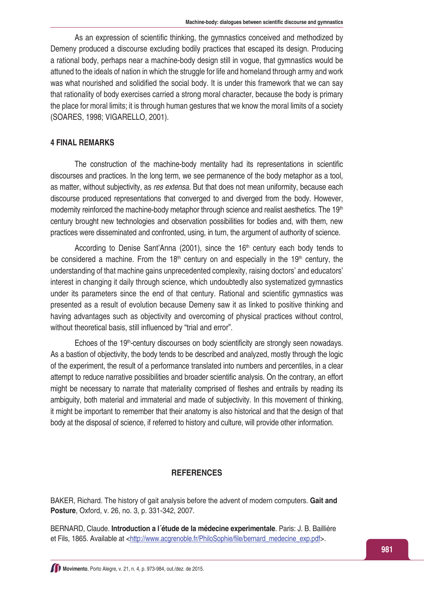As an expression of scientific thinking, the gymnastics conceived and methodized by Demeny produced a discourse excluding bodily practices that escaped its design. Producing a rational body, perhaps near a machine-body design still in vogue, that gymnastics would be attuned to the ideals of nation in which the struggle for life and homeland through army and work was what nourished and solidified the social body. It is under this framework that we can say that rationality of body exercises carried a strong moral character, because the body is primary the place for moral limits; it is through human gestures that we know the moral limits of a society (SOARES, 1998; VIGARELLO, 2001).

#### **4 FINAL REMARKS**

The construction of the machine-body mentality had its representations in scientific discourses and practices. In the long term, we see permanence of the body metaphor as a tool, as matter, without subjectivity, as *res extensa*. But that does not mean uniformity, because each discourse produced representations that converged to and diverged from the body. However, modernity reinforced the machine-body metaphor through science and realist aesthetics. The 19<sup>th</sup> century brought new technologies and observation possibilities for bodies and, with them, new practices were disseminated and confronted, using, in turn, the argument of authority of science.

According to Denise Sant'Anna (2001), since the  $16<sup>th</sup>$  century each body tends to be considered a machine. From the  $18<sup>th</sup>$  century on and especially in the  $19<sup>th</sup>$  century, the understanding of that machine gains unprecedented complexity, raising doctors' and educators' interest in changing it daily through science, which undoubtedly also systematized gymnastics under its parameters since the end of that century. Rational and scientific gymnastics was presented as a result of evolution because Demeny saw it as linked to positive thinking and having advantages such as objectivity and overcoming of physical practices without control, without theoretical basis, still influenced by "trial and error".

Echoes of the 19<sup>th</sup>-century discourses on body scientificity are strongly seen nowadays. As a bastion of objectivity, the body tends to be described and analyzed, mostly through the logic of the experiment, the result of a performance translated into numbers and percentiles, in a clear attempt to reduce narrative possibilities and broader scientific analysis. On the contrary, an effort might be necessary to narrate that materiality comprised of fleshes and entrails by reading its ambiguity, both material and immaterial and made of subjectivity. In this movement of thinking, it might be important to remember that their anatomy is also historical and that the design of that body at the disposal of science, if referred to history and culture, will provide other information.

### **REFERENCES**

BAKER, Richard. The history of gait analysis before the advent of modern computers. **Gait and Posture**, Oxford, v. 26, no. 3, p. 331-342, 2007.

BERNARD, Claude. **Introduction a l´étude de la médecine experimentale**. Paris: J. B. Baillière et Fils, 1865. Available at <[http://www.acgrenoble.fr/PhiloSophie/file/bernard\\_medecine\\_exp.pdf](http://www.acgrenoble.fr/PhiloSophie/file/bernard_medecine_exp.pdf)>.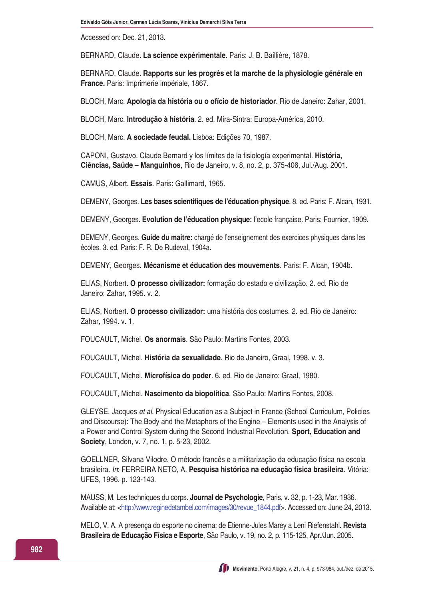Accessed on: Dec. 21, 2013.

BERNARD, Claude. **La science expérimentale**. Paris: J. B. Baillière, 1878.

BERNARD, Claude. **Rapports sur les progrès et la marche de la physiologie générale en France.** Paris: Imprimerie impériale, 1867.

BLOCH, Marc. **Apologia da história ou o ofício de historiador**. Rio de Janeiro: Zahar, 2001.

BLOCH, Marc. **Introdução à história**. 2. ed. Mira-Sintra: Europa-América, 2010.

BLOCH, Marc. **A sociedade feudal.** Lisboa: Edições 70, 1987.

CAPONI, Gustavo. Claude Bernard y los límites de la fisiología experimental. **História, Ciências, Saúde – Manguinhos**, Rio de Janeiro, v. 8, no. 2, p. 375-406, Jul./Aug. 2001.

CAMUS, Albert. **Essais**. Paris: Gallimard, 1965.

DEMENY, Georges. **Les bases scientifiques de l'éducation physique**. 8. ed. Paris: F. Alcan, 1931.

DEMENY, Georges. **Evolution de l'éducation physique:** l'ecole française. Paris: Fournier, 1909.

DEMENY, Georges. **Guide du maitre:** chargé de l'enseignement des exercices physiques dans les écoles. 3. ed. Paris: F. R. De Rudeval, 1904a.

DEMENY, Georges. **Mécanisme et éducation des mouvements**. Paris: F. Alcan, 1904b.

ELIAS, Norbert. **O processo civilizador:** formação do estado e civilização. 2. ed. Rio de Janeiro: Zahar, 1995. v. 2.

ELIAS, Norbert. **O processo civilizador:** uma história dos costumes. 2. ed. Rio de Janeiro: Zahar, 1994. v. 1.

FOUCAULT, Michel. **Os anormais**. São Paulo: Martins Fontes, 2003.

FOUCAULT, Michel. **História da sexualidade**. Rio de Janeiro, Graal, 1998. v. 3.

FOUCAULT, Michel. **Microfísica do poder**. 6. ed. Rio de Janeiro: Graal, 1980.

FOUCAULT, Michel. **Nascimento da biopolítica**. São Paulo: Martins Fontes, 2008.

GLEYSE, Jacques *et al.* Physical Education as a Subject in France (School Curriculum, Policies and Discourse): The Body and the Metaphors of the Engine – Elements used in the Analysis of a Power and Control System during the Second Industrial Revolution. **Sport, Education and Society**, London, v. 7, no. 1, p. 5-23, 2002.

GOELLNER, Silvana Vilodre. O método francês e a militarização da educação física na escola brasileira. *In*: FERREIRA NETO, A. **Pesquisa histórica na educação física brasileira**. Vitória: UFES, 1996. p. 123-143.

MAUSS, M. Les techniques du corps. **Journal de Psychologie**, Paris, v. 32, p. 1-23, Mar. 1936. Available at: <[http://www.reginedetambel.com/images/30/revue\\_1844.pdf](http://www.reginedetambel.com/images/30/revue_1844.pdf)>. Accessed on: June 24, 2013.

MELO, V. A. A presença do esporte no cinema: de Étienne-Jules Marey a Leni Riefenstahl. **Revista Brasileira de Educação Física e Esporte**, São Paulo, v. 19, no. 2, p. 115-125, Apr./Jun. 2005.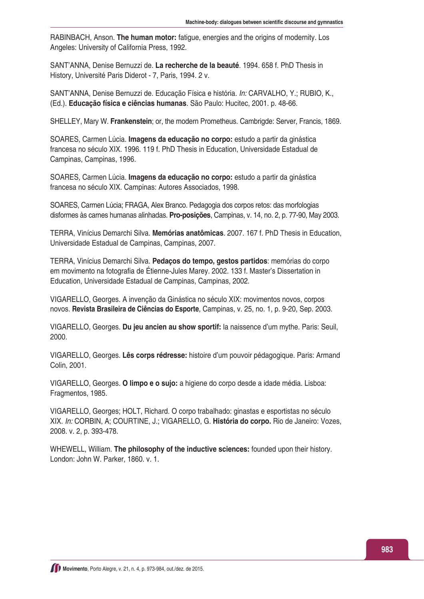RABINBACH, Anson. **The human motor:** fatigue, energies and the origins of modernity. Los Angeles: University of California Press, 1992.

SANT'ANNA, Denise Bernuzzi de. **La recherche de la beauté**. 1994. 658 f. PhD Thesis in History, Université Paris Diderot - 7, Paris, 1994. 2 v.

SANT'ANNA, Denise Bernuzzi de. Educação Física e história. *In:* CARVALHO, Y.; RUBIO, K., (Ed.). **Educação física e ciências humanas**. São Paulo: Hucitec, 2001. p. 48-66.

SHELLEY, Mary W. **Frankenstein**; or, the modern Prometheus. Cambrigde: Server, Francis, 1869.

SOARES, Carmen Lúcia. **Imagens da educação no corpo:** estudo a partir da ginástica francesa no século XIX. 1996. 119 f. PhD Thesis in Education, Universidade Estadual de Campinas, Campinas, 1996.

SOARES, Carmen Lúcia. **Imagens da educação no corpo:** estudo a partir da ginástica francesa no século XIX. Campinas: Autores Associados, 1998.

SOARES, Carmen Lúcia; FRAGA, Alex Branco. Pedagogia dos corpos retos: das morfologias disformes às carnes humanas alinhadas. **Pro-posições**, Campinas, v. 14, no. 2, p. 77-90, May 2003.

TERRA, Vinícius Demarchi Silva. **Memórias anatômicas**. 2007. 167 f. PhD Thesis in Education, Universidade Estadual de Campinas, Campinas, 2007.

TERRA, Vinícius Demarchi Silva. **Pedaços do tempo, gestos partidos**: memórias do corpo em movimento na fotografia de Étienne-Jules Marey. 2002. 133 f. Master's Dissertation in Education, Universidade Estadual de Campinas, Campinas, 2002.

VIGARELLO, Georges. A invenção da Ginástica no século XIX: movimentos novos, corpos novos. **Revista Brasileira de Ciências do Esporte**, Campinas, v. 25, no. 1, p. 9-20, Sep. 2003.

VIGARELLO, Georges. **Du jeu ancien au show sportif:** la naissence d'um mythe. Paris: Seuil, 2000.

VIGARELLO, Georges. **Lês corps rédresse:** histoire d'um pouvoir pédagogique. Paris: Armand Colin, 2001.

VIGARELLO, Georges. **O limpo e o sujo:** a higiene do corpo desde a idade média. Lisboa: Fragmentos, 1985.

VIGARELLO, Georges; HOLT, Richard. O corpo trabalhado: ginastas e esportistas no século XIX. *In:* CORBIN, A; COURTINE, J.; VIGARELLO, G. **História do corpo.** Rio de Janeiro: Vozes, 2008. v. 2, p. 393-478.

WHEWELL, William. **The philosophy of the inductive sciences:** founded upon their history. London: John W. Parker, 1860. v. 1.